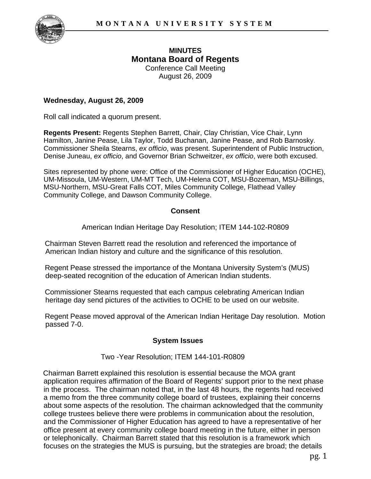

## **MINUTES Montana Board of Regents**

Conference Call Meeting August 26, 2009

## **Wednesday, August 26, 2009**

Roll call indicated a quorum present.

**Regents Present:** Regents Stephen Barrett, Chair, Clay Christian, Vice Chair, Lynn Hamilton, Janine Pease, Lila Taylor, Todd Buchanan, Janine Pease, and Rob Barnosky. Commissioner Sheila Stearns, *ex officio*, was present. Superintendent of Public Instruction, Denise Juneau, *ex officio*, and Governor Brian Schweitzer, *ex officio*, were both excused.

Sites represented by phone were: Office of the Commissioner of Higher Education (OCHE), UM-Missoula, UM-Western, UM-MT Tech, UM-Helena COT, MSU-Bozeman, MSU-Billings, MSU-Northern, MSU-Great Falls COT, Miles Community College, Flathead Valley Community College, and Dawson Community College.

## **Consent**

American Indian Heritage Day Resolution; ITEM 144-102-R0809

Chairman Steven Barrett read the resolution and referenced the importance of American Indian history and culture and the significance of this resolution.

Regent Pease stressed the importance of the Montana University System's (MUS) deep-seated recognition of the education of American Indian students.

Commissioner Stearns requested that each campus celebrating American Indian heritage day send pictures of the activities to OCHE to be used on our website.

Regent Pease moved approval of the American Indian Heritage Day resolution. Motion passed 7-0.

## **System Issues**

Two -Year Resolution; ITEM 144-101-R0809

Chairman Barrett explained this resolution is essential because the MOA grant application requires affirmation of the Board of Regents' support prior to the next phase in the process. The chairman noted that, in the last 48 hours, the regents had received a memo from the three community college board of trustees, explaining their concerns about some aspects of the resolution. The chairman acknowledged that the community college trustees believe there were problems in communication about the resolution, and the Commissioner of Higher Education has agreed to have a representative of her office present at every community college board meeting in the future, either in person or telephonically. Chairman Barrett stated that this resolution is a framework which focuses on the strategies the MUS is pursuing, but the strategies are broad; the details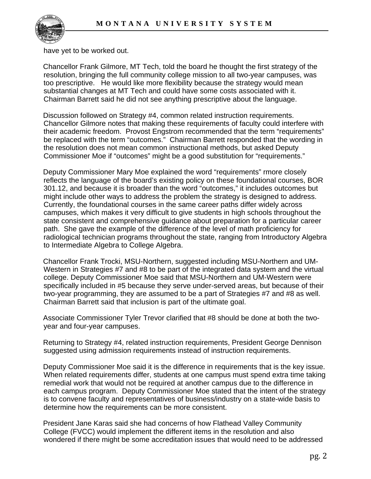

have yet to be worked out.

Chancellor Frank Gilmore, MT Tech, told the board he thought the first strategy of the resolution, bringing the full community college mission to all two-year campuses, was too prescriptive. He would like more flexibility because the strategy would mean substantial changes at MT Tech and could have some costs associated with it. Chairman Barrett said he did not see anything prescriptive about the language.

Discussion followed on Strategy #4, common related instruction requirements. Chancellor Gilmore notes that making these requirements of faculty could interfere with their academic freedom. Provost Engstrom recommended that the term "requirements" be replaced with the term "outcomes." Chairman Barrett responded that the wording in the resolution does not mean common instructional methods, but asked Deputy Commissioner Moe if "outcomes" might be a good substitution for "requirements."

Deputy Commissioner Mary Moe explained the word "requirements" rmore closely reflects the language of the board's existing policy on these foundational courses, BOR 301.12, and because it is broader than the word "outcomes," it includes outcomes but might include other ways to address the problem the strategy is designed to address. Currently, the foundational courses in the same career paths differ widely across campuses, which makes it very difficult to give students in high schools throughout the state consistent and comprehensive guidance about preparation for a particular career path. She gave the example of the difference of the level of math proficiency for radiological technician programs throughout the state, ranging from Introductory Algebra to Intermediate Algebra to College Algebra.

Chancellor Frank Trocki, MSU-Northern, suggested including MSU-Northern and UM-Western in Strategies #7 and #8 to be part of the integrated data system and the virtual college. Deputy Commissioner Moe said that MSU-Northern and UM-Western were specifically included in #5 because they serve under-served areas, but because of their two-year programming, they are assumed to be a part of Strategies #7 and #8 as well. Chairman Barrett said that inclusion is part of the ultimate goal.

Associate Commissioner Tyler Trevor clarified that #8 should be done at both the twoyear and four-year campuses.

Returning to Strategy #4, related instruction requirements, President George Dennison suggested using admission requirements instead of instruction requirements.

Deputy Commissioner Moe said it is the difference in requirements that is the key issue. When related requirements differ, students at one campus must spend extra time taking remedial work that would not be required at another campus due to the difference in each campus program. Deputy Commissioner Moe stated that the intent of the strategy is to convene faculty and representatives of business/industry on a state-wide basis to determine how the requirements can be more consistent.

President Jane Karas said she had concerns of how Flathead Valley Community College (FVCC) would implement the different items in the resolution and also wondered if there might be some accreditation issues that would need to be addressed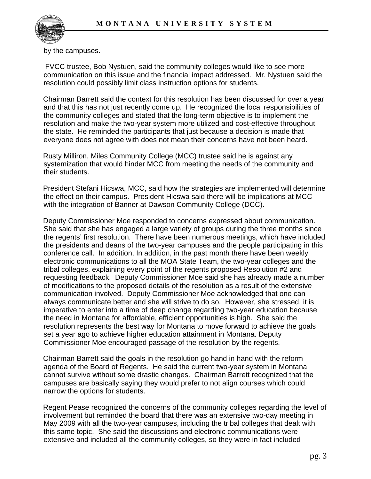

by the campuses.

 FVCC trustee, Bob Nystuen, said the community colleges would like to see more communication on this issue and the financial impact addressed. Mr. Nystuen said the resolution could possibly limit class instruction options for students.

Chairman Barrett said the context for this resolution has been discussed for over a year and that this has not just recently come up. He recognized the local responsibilities of the community colleges and stated that the long-term objective is to implement the resolution and make the two-year system more utilized and cost-effective throughout the state. He reminded the participants that just because a decision is made that everyone does not agree with does not mean their concerns have not been heard.

Rusty Milliron, Miles Community College (MCC) trustee said he is against any systemization that would hinder MCC from meeting the needs of the community and their students.

President Stefani Hicswa, MCC, said how the strategies are implemented will determine the effect on their campus. President Hicswa said there will be implications at MCC with the integration of Banner at Dawson Community College (DCC).

Deputy Commissioner Moe responded to concerns expressed about communication. She said that she has engaged a large variety of groups during the three months since the regents' first resolution. There have been numerous meetings, which have included the presidents and deans of the two-year campuses and the people participating in this conference call. In addition, In addition, in the past month there have been weekly electronic communications to all the MOA State Team, the two-year colleges and the tribal colleges, explaining every point of the regents proposed Resolution #2 and requesting feedback. Deputy Commissioner Moe said she has already made a number of modifications to the proposed details of the resolution as a result of the extensive communication involved. Deputy Commissioner Moe acknowledged that one can always communicate better and she will strive to do so. However, she stressed, it is imperative to enter into a time of deep change regarding two-year education because the need in Montana for affordable, efficient opportunities is high. She said the resolution represents the best way for Montana to move forward to achieve the goals set a year ago to achieve higher education attainment in Montana. Deputy Commissioner Moe encouraged passage of the resolution by the regents.

Chairman Barrett said the goals in the resolution go hand in hand with the reform agenda of the Board of Regents. He said the current two-year system in Montana cannot survive without some drastic changes. Chairman Barrett recognized that the campuses are basically saying they would prefer to not align courses which could narrow the options for students.

Regent Pease recognized the concerns of the community colleges regarding the level of involvement but reminded the board that there was an extensive two-day meeting in May 2009 with all the two-year campuses, including the tribal colleges that dealt with this same topic. She said the discussions and electronic communications were extensive and included all the community colleges, so they were in fact included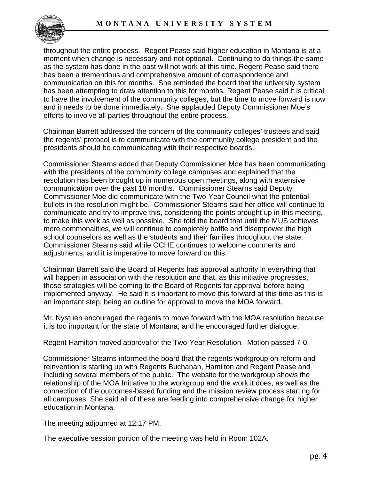

throughout the entire process. Regent Pease said higher education in Montana is at a moment when change is necessary and not optional. Continuing to do things the same as the system has done in the past will not work at this time. Regent Pease said there has been a tremendous and comprehensive amount of correspondence and communication on this for months. She reminded the board that the university system has been attempting to draw attention to this for months. Regent Pease said it is critical to have the involvement of the community colleges, but the time to move forward is now and it needs to be done immediately. She applauded Deputy Commissioner Moe's efforts to involve all parties throughout the entire process.

Chairman Barrett addressed the concern of the community colleges' trustees and said the regents' protocol is to communicate with the community college president and the presidents should be communicating with their respective boards.

Commissioner Stearns added that Deputy Commissioner Moe has been communicating with the presidents of the community college campuses and explained that the resolution has been brought up in numerous open meetings, along with extensive communication over the past 18 months. Commissioner Stearns said Deputy Commissioner Moe did communicate with the Two-Year Council what the potential bullets in the resolution might be. Commissioner Stearns said her office will continue to communicate and try to improve this, considering the points brought up in this meeting, to make this work as well as possible. She told the board that until the MUS achieves more commonalities, we will continue to completely baffle and disempower the high school counselors as well as the students and their families throughout the state. Commissioner Stearns said while OCHE continues to welcome comments and adjustments, and it is imperative to move forward on this.

Chairman Barrett said the Board of Regents has approval authority in everything that will happen in association with the resolution and that, as this initiative progresses, those strategies will be coming to the Board of Regents for approval before being implemented anyway. He said it is important to move this forward at this time as this is an important step, being an outline for approval to move the MOA forward.

Mr. Nystuen encouraged the regents to move forward with the MOA resolution because it is too important for the state of Montana, and he encouraged further dialogue.

Regent Hamilton moved approval of the Two-Year Resolution. Motion passed 7-0.

Commissioner Stearns informed the board that the regents workgroup on reform and reinvention is starting up with Regents Buchanan, Hamilton and Regent Pease and including several members of the public. The website for the workgroup shows the relationship of the MOA Initiative to the workgroup and the work it does, as well as the connection of the outcomes-based funding and the mission review process starting for all campuses. She said all of these are feeding into comprehensive change for higher education in Montana.

The meeting adjourned at 12:17 PM.

The executive session portion of the meeting was held in Room 102A.